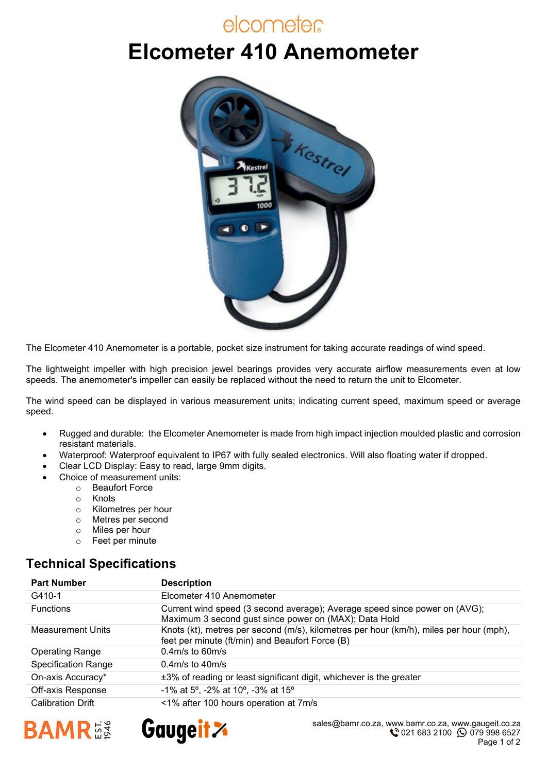### elcometer

# **Elcometer 410 Anemometer**



The Elcometer 410 Anemometer is a portable, pocket size instrument for taking accurate readings of wind speed.

The lightweight impeller with high precision jewel bearings provides very accurate airflow measurements even at low speeds. The anemometer's impeller can easily be replaced without the need to return the unit to Elcometer.

The wind speed can be displayed in various measurement units; indicating current speed, maximum speed or average speed.

- Rugged and durable: the Elcometer Anemometer is made from high impact injection moulded plastic and corrosion resistant materials.
- Waterproof: Waterproof equivalent to IP67 with fully sealed electronics. Will also floating water if dropped.
- Clear LCD Display: Easy to read, large 9mm digits.
- Choice of measurement units:
	- o Beaufort Force
	- o Knots
	- o Kilometres per hour
	- ⊙ Metres per second<br>○ Miles per hour
	- Miles per hour
	- o Feet per minute

#### **Technical Specifications**

| <b>Part Number</b>         | <b>Description</b>                                                                                                                        |
|----------------------------|-------------------------------------------------------------------------------------------------------------------------------------------|
| G410-1                     | Elcometer 410 Anemometer                                                                                                                  |
| <b>Functions</b>           | Current wind speed (3 second average); Average speed since power on (AVG);<br>Maximum 3 second gust since power on (MAX); Data Hold       |
| <b>Measurement Units</b>   | Knots (kt), metres per second (m/s), kilometres per hour (km/h), miles per hour (mph),<br>feet per minute (ft/min) and Beaufort Force (B) |
| <b>Operating Range</b>     | $0.4$ m/s to 60m/s                                                                                                                        |
| <b>Specification Range</b> | $0.4m/s$ to $40m/s$                                                                                                                       |
| On-axis Accuracy*          | ±3% of reading or least significant digit, whichever is the greater                                                                       |
| Off-axis Response          | -1% at 5°, -2% at 10°, -3% at 15°                                                                                                         |
| <b>Calibration Drift</b>   | <1% after 100 hours operation at 7m/s                                                                                                     |